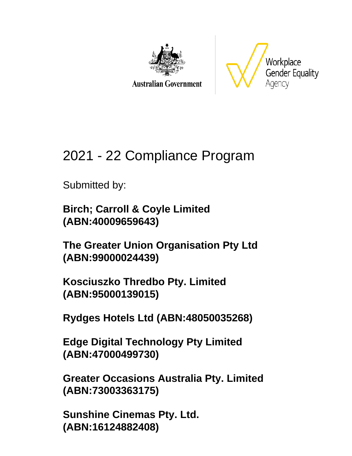

**Australian Government** 



# 2021 - 22 Compliance Program

Submitted by:

**Birch; Carroll & Coyle Limited (ABN:40009659643)**

**The Greater Union Organisation Pty Ltd (ABN:99000024439)**

**Kosciuszko Thredbo Pty. Limited (ABN:95000139015)**

**Rydges Hotels Ltd (ABN:48050035268)**

**Edge Digital Technology Pty Limited (ABN:47000499730)**

**Greater Occasions Australia Pty. Limited (ABN:73003363175)**

**Sunshine Cinemas Pty. Ltd. (ABN:16124882408)**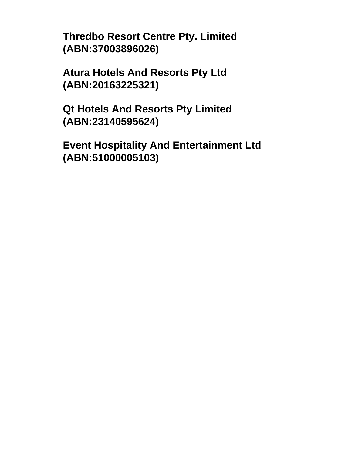**Thredbo Resort Centre Pty. Limited (ABN:37003896026)**

**Atura Hotels And Resorts Pty Ltd (ABN:20163225321)**

**Qt Hotels And Resorts Pty Limited (ABN:23140595624)**

**Event Hospitality And Entertainment Ltd (ABN:51000005103)**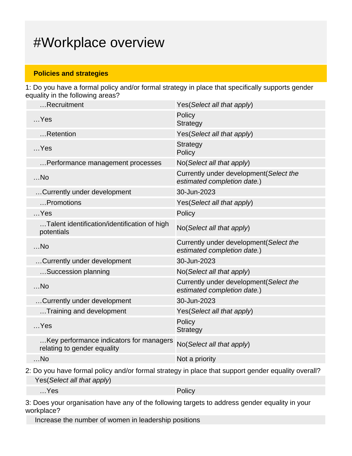## #Workplace overview

#### **Policies and strategies**

1: Do you have a formal policy and/or formal strategy in place that specifically supports gender equality in the following areas?

| Recruitment                                                            | Yes (Select all that apply)                                            |
|------------------------------------------------------------------------|------------------------------------------------------------------------|
| $$ Yes                                                                 | Policy<br><b>Strategy</b>                                              |
| Retention                                                              | Yes(Select all that apply)                                             |
| $$ Yes                                                                 | Strategy<br>Policy                                                     |
| Performance management processes                                       | No(Select all that apply)                                              |
| $$ No                                                                  | Currently under development (Select the<br>estimated completion date.) |
| Currently under development                                            | 30-Jun-2023                                                            |
| Promotions                                                             | Yes(Select all that apply)                                             |
| $$ Yes                                                                 | Policy                                                                 |
| Talent identification/identification of high<br>potentials             | No(Select all that apply)                                              |
| $$ No                                                                  | Currently under development (Select the<br>estimated completion date.) |
| Currently under development                                            | 30-Jun-2023                                                            |
| Succession planning                                                    | No(Select all that apply)                                              |
| $$ No                                                                  | Currently under development (Select the<br>estimated completion date.) |
| Currently under development                                            | 30-Jun-2023                                                            |
| Training and development                                               | Yes (Select all that apply)                                            |
| $$ Yes                                                                 | Policy<br>Strategy                                                     |
| Key performance indicators for managers<br>relating to gender equality | No(Select all that apply)                                              |
| $$ No                                                                  | Not a priority                                                         |
|                                                                        |                                                                        |

2: Do you have formal policy and/or formal strategy in place that support gender equality overall? Yes(Select all that apply)

…Yes Policy

3: Does your organisation have any of the following targets to address gender equality in your workplace?

Increase the number of women in leadership positions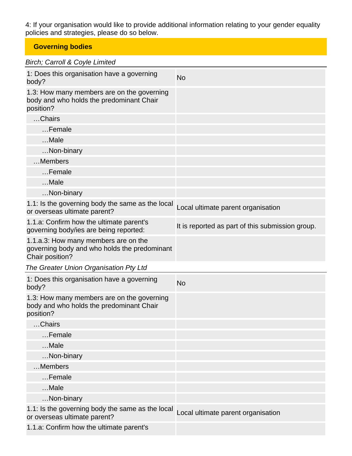4: If your organisation would like to provide additional information relating to your gender equality policies and strategies, please do so below.

### **Governing bodies**

### Birch; Carroll & Coyle Limited

| 1: Does this organisation have a governing<br>body?                                                     | <b>No</b>                                        |
|---------------------------------------------------------------------------------------------------------|--------------------------------------------------|
| 1.3: How many members are on the governing<br>body and who holds the predominant Chair<br>position?     |                                                  |
| Chairs                                                                                                  |                                                  |
| Female                                                                                                  |                                                  |
| Male                                                                                                    |                                                  |
| Non-binary                                                                                              |                                                  |
| Members                                                                                                 |                                                  |
| Female                                                                                                  |                                                  |
| Male                                                                                                    |                                                  |
| Non-binary                                                                                              |                                                  |
| 1.1: Is the governing body the same as the local<br>or overseas ultimate parent?                        | Local ultimate parent organisation               |
| 1.1.a: Confirm how the ultimate parent's<br>governing body/ies are being reported:                      | It is reported as part of this submission group. |
| 1.1.a.3: How many members are on the<br>governing body and who holds the predominant<br>Chair position? |                                                  |
|                                                                                                         |                                                  |
| The Greater Union Organisation Pty Ltd                                                                  |                                                  |
| 1: Does this organisation have a governing<br>body?                                                     | <b>No</b>                                        |
| 1.3: How many members are on the governing<br>body and who holds the predominant Chair<br>position?     |                                                  |
| Chairs                                                                                                  |                                                  |
| Female                                                                                                  |                                                  |
| Male                                                                                                    |                                                  |
| Non-binary                                                                                              |                                                  |
| Members                                                                                                 |                                                  |
| $$ Female                                                                                               |                                                  |
| Male                                                                                                    |                                                  |
| Non-binary                                                                                              |                                                  |
| 1.1: Is the governing body the same as the local<br>or overseas ultimate parent?                        | Local ultimate parent organisation               |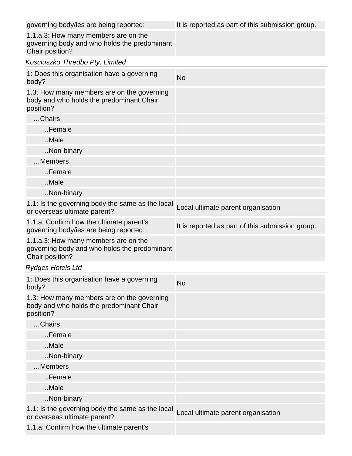| governing body/ies are being reported:                                                                  | It is reported as part of this submission group. |
|---------------------------------------------------------------------------------------------------------|--------------------------------------------------|
| 1.1.a.3: How many members are on the<br>governing body and who holds the predominant<br>Chair position? |                                                  |
| Kosciuszko Thredbo Pty. Limited                                                                         |                                                  |
| 1: Does this organisation have a governing<br>body?                                                     | <b>No</b>                                        |
| 1.3: How many members are on the governing<br>body and who holds the predominant Chair<br>position?     |                                                  |
| Chairs                                                                                                  |                                                  |
| Female                                                                                                  |                                                  |
| Male                                                                                                    |                                                  |
| Non-binary                                                                                              |                                                  |
| Members                                                                                                 |                                                  |
| Female                                                                                                  |                                                  |
| Male                                                                                                    |                                                  |
| Non-binary                                                                                              |                                                  |
| 1.1: Is the governing body the same as the local<br>or overseas ultimate parent?                        | Local ultimate parent organisation               |
| 1.1.a: Confirm how the ultimate parent's<br>governing body/ies are being reported:                      | It is reported as part of this submission group. |
| 1.1.a.3: How many members are on the<br>governing body and who holds the predominant<br>Chair position? |                                                  |
| <b>Rydges Hotels Ltd</b>                                                                                |                                                  |
| 1: Does this organisation have a governing<br>body?                                                     | <b>No</b>                                        |
| 1.3: How many members are on the governing<br>body and who holds the predominant Chair<br>position?     |                                                  |
| Chairs                                                                                                  |                                                  |
| Female                                                                                                  |                                                  |
| Male                                                                                                    |                                                  |
| Non-binary                                                                                              |                                                  |
| Members                                                                                                 |                                                  |
| Female                                                                                                  |                                                  |
| Male                                                                                                    |                                                  |
| Non-binary                                                                                              |                                                  |
| 1.1: Is the governing body the same as the local<br>or overseas ultimate parent?                        | Local ultimate parent organisation               |
| 1.1.a: Confirm how the ultimate parent's                                                                |                                                  |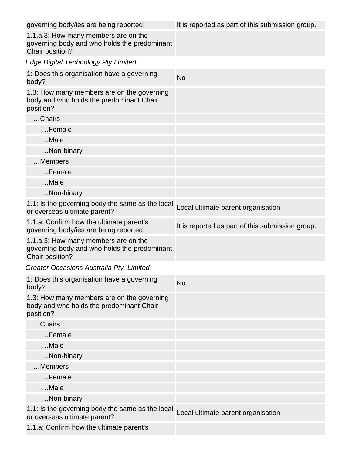| governing body/ies are being reported:                                                                  | It is reported as part of this submission group. |
|---------------------------------------------------------------------------------------------------------|--------------------------------------------------|
| 1.1.a.3: How many members are on the<br>governing body and who holds the predominant<br>Chair position? |                                                  |
| <b>Edge Digital Technology Pty Limited</b>                                                              |                                                  |
| 1: Does this organisation have a governing<br>body?                                                     | <b>No</b>                                        |
| 1.3: How many members are on the governing<br>body and who holds the predominant Chair<br>position?     |                                                  |
| Chairs                                                                                                  |                                                  |
| Female                                                                                                  |                                                  |
| Male                                                                                                    |                                                  |
| Non-binary                                                                                              |                                                  |
| Members                                                                                                 |                                                  |
| Female                                                                                                  |                                                  |
| Male                                                                                                    |                                                  |
| Non-binary                                                                                              |                                                  |
| 1.1: Is the governing body the same as the local<br>or overseas ultimate parent?                        | Local ultimate parent organisation               |
| 1.1.a: Confirm how the ultimate parent's<br>governing body/ies are being reported:                      | It is reported as part of this submission group. |
| 1.1.a.3: How many members are on the<br>governing body and who holds the predominant<br>Chair position? |                                                  |
| Greater Occasions Australia Pty. Limited                                                                |                                                  |
| 1: Does this organisation have a governing<br>body?                                                     | <b>No</b>                                        |
| 1.3: How many members are on the governing<br>body and who holds the predominant Chair<br>position?     |                                                  |
| Chairs                                                                                                  |                                                  |
| Female                                                                                                  |                                                  |
| Male                                                                                                    |                                                  |
| Non-binary                                                                                              |                                                  |
| Members                                                                                                 |                                                  |
| Female                                                                                                  |                                                  |
| Male                                                                                                    |                                                  |
| Non-binary                                                                                              |                                                  |
| 1.1: Is the governing body the same as the local<br>or overseas ultimate parent?                        | Local ultimate parent organisation               |
| 1.1.a: Confirm how the ultimate parent's                                                                |                                                  |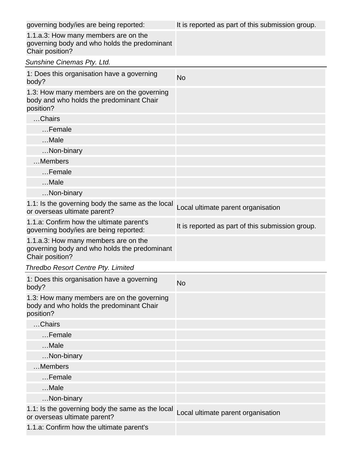| governing body/ies are being reported:                                                                  | It is reported as part of this submission group. |
|---------------------------------------------------------------------------------------------------------|--------------------------------------------------|
| 1.1.a.3: How many members are on the<br>governing body and who holds the predominant<br>Chair position? |                                                  |
| Sunshine Cinemas Pty. Ltd.                                                                              |                                                  |
| 1: Does this organisation have a governing<br>body?                                                     | <b>No</b>                                        |
| 1.3: How many members are on the governing<br>body and who holds the predominant Chair<br>position?     |                                                  |
| Chairs                                                                                                  |                                                  |
| Female                                                                                                  |                                                  |
| Male                                                                                                    |                                                  |
| Non-binary                                                                                              |                                                  |
| Members                                                                                                 |                                                  |
| Female                                                                                                  |                                                  |
| Male                                                                                                    |                                                  |
| Non-binary                                                                                              |                                                  |
| 1.1: Is the governing body the same as the local<br>or overseas ultimate parent?                        | Local ultimate parent organisation               |
| 1.1.a: Confirm how the ultimate parent's<br>governing body/ies are being reported:                      | It is reported as part of this submission group. |
| 1.1.a.3: How many members are on the<br>governing body and who holds the predominant<br>Chair position? |                                                  |
| <b>Thredbo Resort Centre Pty. Limited</b>                                                               |                                                  |
| 1: Does this organisation have a governing<br>body?                                                     | <b>No</b>                                        |
| 1.3: How many members are on the governing<br>body and who holds the predominant Chair<br>position?     |                                                  |
| Chairs                                                                                                  |                                                  |
| Female                                                                                                  |                                                  |
| Male                                                                                                    |                                                  |
| Non-binary                                                                                              |                                                  |
| Members                                                                                                 |                                                  |
| Female                                                                                                  |                                                  |
| Male                                                                                                    |                                                  |
| Non-binary                                                                                              |                                                  |
| 1.1: Is the governing body the same as the local<br>or overseas ultimate parent?                        | Local ultimate parent organisation               |
| 1.1.a: Confirm how the ultimate parent's                                                                |                                                  |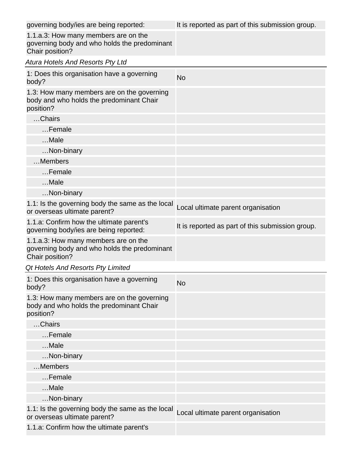| governing body/ies are being reported:                                                                  | It is reported as part of this submission group. |
|---------------------------------------------------------------------------------------------------------|--------------------------------------------------|
| 1.1.a.3: How many members are on the<br>governing body and who holds the predominant<br>Chair position? |                                                  |
| <b>Atura Hotels And Resorts Pty Ltd</b>                                                                 |                                                  |
| 1: Does this organisation have a governing<br>body?                                                     | <b>No</b>                                        |
| 1.3: How many members are on the governing<br>body and who holds the predominant Chair<br>position?     |                                                  |
| Chairs                                                                                                  |                                                  |
| Female                                                                                                  |                                                  |
| Male                                                                                                    |                                                  |
| Non-binary                                                                                              |                                                  |
| Members                                                                                                 |                                                  |
| Female                                                                                                  |                                                  |
| Male                                                                                                    |                                                  |
| Non-binary                                                                                              |                                                  |
| 1.1: Is the governing body the same as the local<br>or overseas ultimate parent?                        | Local ultimate parent organisation               |
| 1.1.a: Confirm how the ultimate parent's<br>governing body/ies are being reported:                      | It is reported as part of this submission group. |
| 1.1.a.3: How many members are on the<br>governing body and who holds the predominant<br>Chair position? |                                                  |
| Qt Hotels And Resorts Pty Limited                                                                       |                                                  |
| 1: Does this organisation have a governing<br>body?                                                     | <b>No</b>                                        |
| 1.3: How many members are on the governing<br>body and who holds the predominant Chair<br>position?     |                                                  |
| Chairs                                                                                                  |                                                  |
| $$ Female                                                                                               |                                                  |
| $$ Male                                                                                                 |                                                  |
| Non-binary                                                                                              |                                                  |
| Members                                                                                                 |                                                  |
| Female                                                                                                  |                                                  |
| $$ Male                                                                                                 |                                                  |
| Non-binary                                                                                              |                                                  |
| 1.1: Is the governing body the same as the local<br>or overseas ultimate parent?                        | Local ultimate parent organisation               |
| 1.1.a: Confirm how the ultimate parent's                                                                |                                                  |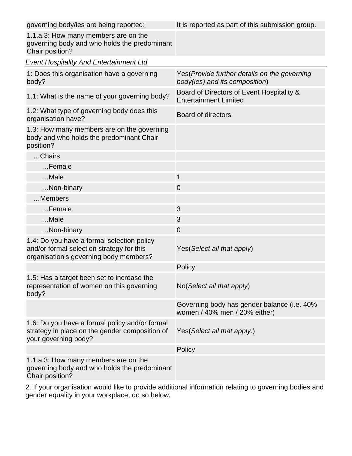| governing body/ies are being reported:                                                                                            | It is reported as part of this submission group.                                |
|-----------------------------------------------------------------------------------------------------------------------------------|---------------------------------------------------------------------------------|
| 1.1.a.3: How many members are on the<br>governing body and who holds the predominant<br>Chair position?                           |                                                                                 |
| <b>Event Hospitality And Entertainment Ltd</b>                                                                                    |                                                                                 |
| 1: Does this organisation have a governing<br>body?                                                                               | Yes (Provide further details on the governing<br>body(ies) and its composition) |
| 1.1: What is the name of your governing body?                                                                                     | Board of Directors of Event Hospitality &<br><b>Entertainment Limited</b>       |
| 1.2: What type of governing body does this<br>organisation have?                                                                  | <b>Board of directors</b>                                                       |
| 1.3: How many members are on the governing<br>body and who holds the predominant Chair<br>position?                               |                                                                                 |
| Chairs                                                                                                                            |                                                                                 |
| Female                                                                                                                            |                                                                                 |
| Male                                                                                                                              | $\mathbf{1}$                                                                    |
| Non-binary                                                                                                                        | $\overline{0}$                                                                  |
| Members                                                                                                                           |                                                                                 |
| Female                                                                                                                            | 3                                                                               |
| Male                                                                                                                              | 3                                                                               |
| Non-binary                                                                                                                        | 0                                                                               |
| 1.4: Do you have a formal selection policy<br>and/or formal selection strategy for this<br>organisation's governing body members? | Yes(Select all that apply)                                                      |
|                                                                                                                                   | Policy                                                                          |
| 1.5: Has a target been set to increase the<br>representation of women on this governing<br>body?                                  | No(Select all that apply)                                                       |
|                                                                                                                                   | Governing body has gender balance (i.e. 40%<br>women / 40% men / 20% either)    |
| 1.6: Do you have a formal policy and/or formal<br>strategy in place on the gender composition of<br>your governing body?          | Yes(Select all that apply.)                                                     |
|                                                                                                                                   | Policy                                                                          |
| 1.1.a.3: How many members are on the<br>governing body and who holds the predominant<br>Chair position?                           |                                                                                 |

2: If your organisation would like to provide additional information relating to governing bodies and gender equality in your workplace, do so below.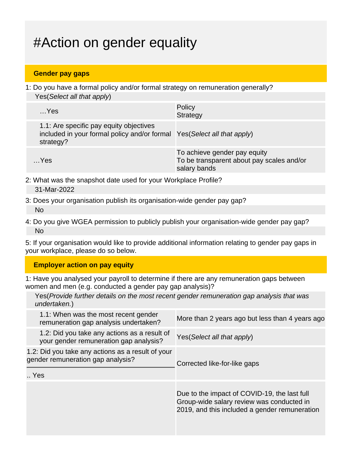# #Action on gender equality

### **Gender pay gaps**

1: Do you have a formal policy and/or formal strategy on remuneration generally? Yes(Select all that apply)

| $$ Yes                                                                                                                           | Policy<br><b>Strategy</b>                                                                 |
|----------------------------------------------------------------------------------------------------------------------------------|-------------------------------------------------------------------------------------------|
| 1.1: Are specific pay equity objectives<br>included in your formal policy and/or formal Yes (Select all that apply)<br>strategy? |                                                                                           |
| …Yes                                                                                                                             | To achieve gender pay equity<br>To be transparent about pay scales and/or<br>salary bands |

- 2: What was the snapshot date used for your Workplace Profile? 31-Mar-2022
- 3: Does your organisation publish its organisation-wide gender pay gap? No
- 4: Do you give WGEA permission to publicly publish your organisation-wide gender pay gap? No

5: If your organisation would like to provide additional information relating to gender pay gaps in your workplace, please do so below.

### **Employer action on pay equity**

1: Have you analysed your payroll to determine if there are any remuneration gaps between women and men (e.g. conducted a gender pay gap analysis)?

Yes(Provide further details on the most recent gender remuneration gap analysis that was undertaken.)

| 1.1: When was the most recent gender<br>remuneration gap analysis undertaken?          | More than 2 years ago but less than 4 years ago                                                                                            |
|----------------------------------------------------------------------------------------|--------------------------------------------------------------------------------------------------------------------------------------------|
| 1.2: Did you take any actions as a result of<br>your gender remuneration gap analysis? | Yes (Select all that apply)                                                                                                                |
| 1.2: Did you take any actions as a result of your<br>gender remuneration gap analysis? | Corrected like-for-like gaps                                                                                                               |
| Yes                                                                                    |                                                                                                                                            |
|                                                                                        | Due to the impact of COVID-19, the last full<br>Group-wide salary review was conducted in<br>2019, and this included a gender remuneration |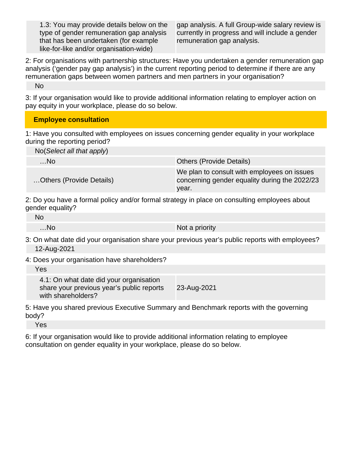1.3: You may provide details below on the type of gender remuneration gap analysis that has been undertaken (for example like-for-like and/or organisation-wide)

gap analysis. A full Group-wide salary review is currently in progress and will include a gender remuneration gap analysis.

2: For organisations with partnership structures: Have you undertaken a gender remuneration gap analysis ('gender pay gap analysis') in the current reporting period to determine if there are any remuneration gaps between women partners and men partners in your organisation?

No

3: If your organisation would like to provide additional information relating to employer action on pay equity in your workplace, please do so below.

#### **Employee consultation**

1: Have you consulted with employees on issues concerning gender equality in your workplace during the reporting period?

No(Select all that apply)

| …No.                     | <b>Others (Provide Details)</b>                                                                       |
|--------------------------|-------------------------------------------------------------------------------------------------------|
| Others (Provide Details) | We plan to consult with employees on issues<br>concerning gender equality during the 2022/23<br>year. |

2: Do you have a formal policy and/or formal strategy in place on consulting employees about gender equality?

| No    |                |
|-------|----------------|
| $$ No | Not a priority |

3: On what date did your organisation share your previous year's public reports with employees? 12-Aug-2021

4: Does your organisation have shareholders?

Yes

4.1: On what date did your organisation share your previous year's public reports with shareholders? 23-Aug-2021

5: Have you shared previous Executive Summary and Benchmark reports with the governing body?

Yes

6: If your organisation would like to provide additional information relating to employee consultation on gender equality in your workplace, please do so below.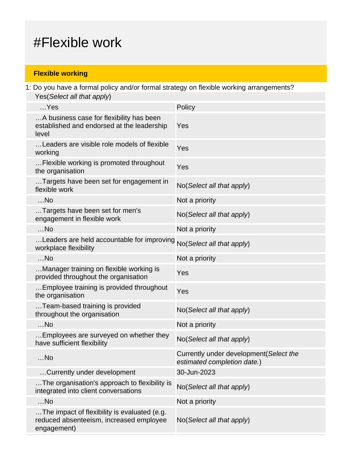## #Flexible work

### **Flexible working**

1: Do you have a formal policy and/or formal strategy on flexible working arrangements? Yes(Select all that apply)

| $$ Yes                                                                                                 | Policy                                                                 |
|--------------------------------------------------------------------------------------------------------|------------------------------------------------------------------------|
| A business case for flexibility has been<br>established and endorsed at the leadership<br>level        | Yes                                                                    |
| Leaders are visible role models of flexible<br>working                                                 | Yes                                                                    |
| Flexible working is promoted throughout<br>the organisation                                            | Yes                                                                    |
| Targets have been set for engagement in<br>flexible work                                               | No(Select all that apply)                                              |
| $$ No                                                                                                  | Not a priority                                                         |
| Targets have been set for men's<br>engagement in flexible work                                         | No(Select all that apply)                                              |
| $$ No                                                                                                  | Not a priority                                                         |
| Leaders are held accountable for improving<br>workplace flexibility                                    | No(Select all that apply)                                              |
| $$ No                                                                                                  | Not a priority                                                         |
| Manager training on flexible working is<br>provided throughout the organisation                        | Yes                                                                    |
| Employee training is provided throughout<br>the organisation                                           | Yes                                                                    |
| Team-based training is provided<br>throughout the organisation                                         | No(Select all that apply)                                              |
| $$ No                                                                                                  | Not a priority                                                         |
| Employees are surveyed on whether they<br>have sufficient flexibility                                  | No(Select all that apply)                                              |
| $$ No                                                                                                  | Currently under development (Select the<br>estimated completion date.) |
| Currently under development                                                                            | 30-Jun-2023                                                            |
| The organisation's approach to flexibility is<br>integrated into client conversations                  | No(Select all that apply)                                              |
| $$ No                                                                                                  | Not a priority                                                         |
| The impact of flexibility is evaluated (e.g.<br>reduced absenteeism, increased employee<br>engagement) | No(Select all that apply)                                              |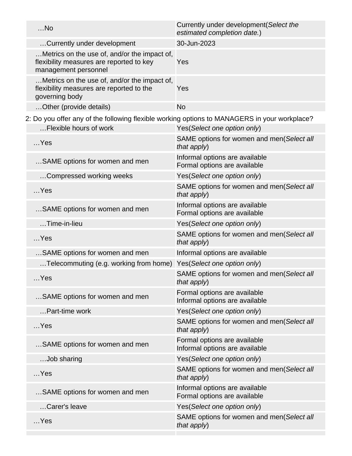| $$ No                                                                                                                  | Currently under development (Select the<br>estimated completion date.) |
|------------------------------------------------------------------------------------------------------------------------|------------------------------------------------------------------------|
| Currently under development                                                                                            | 30-Jun-2023                                                            |
| Metrics on the use of, and/or the impact of,<br>flexibility measures are reported to key<br>management personnel       | Yes                                                                    |
| Metrics on the use of, and/or the impact of,<br>flexibility measures are reported to the<br>governing body             | Yes                                                                    |
| Other (provide details)                                                                                                | <b>No</b>                                                              |
| 2: Do you offer any of the following flexible working options to MANAGERS in your workplace?<br>Flexible hours of work | Yes(Select one option only)                                            |
| $$ Yes                                                                                                                 | SAME options for women and men(Select all<br>that apply)               |
| SAME options for women and men                                                                                         | Informal options are available<br>Formal options are available         |
| Compressed working weeks                                                                                               | Yes(Select one option only)                                            |
| $$ Yes                                                                                                                 | SAME options for women and men(Select all<br>that apply)               |
| SAME options for women and men                                                                                         | Informal options are available<br>Formal options are available         |
| Time-in-lieu                                                                                                           | Yes(Select one option only)                                            |
| $$ Yes                                                                                                                 | SAME options for women and men(Select all<br>that apply)               |
| SAME options for women and men                                                                                         | Informal options are available                                         |
| Telecommuting (e.g. working from home)                                                                                 | Yes(Select one option only)                                            |
| …Yes                                                                                                                   | SAME options for women and men(Select all<br>that apply)               |
| SAME options for women and men                                                                                         | Formal options are available<br>Informal options are available         |
| Part-time work                                                                                                         | Yes(Select one option only)                                            |
| $$ Yes                                                                                                                 | SAME options for women and men(Select all<br>that apply)               |
| SAME options for women and men                                                                                         | Formal options are available<br>Informal options are available         |
| Job sharing                                                                                                            | Yes(Select one option only)                                            |
| $$ Yes                                                                                                                 | SAME options for women and men(Select all<br>that apply)               |
| SAME options for women and men                                                                                         | Informal options are available<br>Formal options are available         |
| Carer's leave                                                                                                          | Yes(Select one option only)                                            |
| $$ Yes                                                                                                                 | SAME options for women and men(Select all<br>that apply)               |
|                                                                                                                        |                                                                        |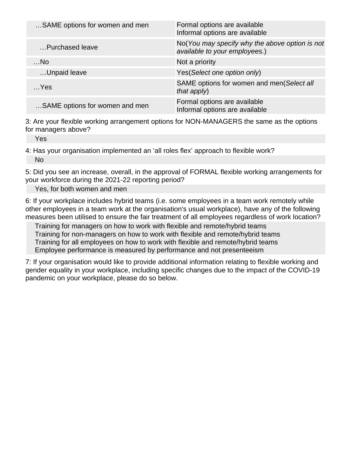| SAME options for women and men | Formal options are available<br>Informal options are available                  |
|--------------------------------|---------------------------------------------------------------------------------|
| Purchased leave                | No(You may specify why the above option is not<br>available to your employees.) |
| $$ No                          | Not a priority                                                                  |
| Unpaid leave                   | Yes (Select one option only)                                                    |
| $$ Yes                         | SAME options for women and men(Select all<br>that apply)                        |
| SAME options for women and men | Formal options are available<br>Informal options are available                  |

3: Are your flexible working arrangement options for NON-MANAGERS the same as the options for managers above?

Yes

4: Has your organisation implemented an 'all roles flex' approach to flexible work? No

5: Did you see an increase, overall, in the approval of FORMAL flexible working arrangements for your workforce during the 2021-22 reporting period?

Yes, for both women and men

6: If your workplace includes hybrid teams (i.e. some employees in a team work remotely while other employees in a team work at the organisation's usual workplace), have any of the following measures been utilised to ensure the fair treatment of all employees regardless of work location?

Training for managers on how to work with flexible and remote/hybrid teams Training for non-managers on how to work with flexible and remote/hybrid teams Training for all employees on how to work with flexible and remote/hybrid teams Employee performance is measured by performance and not presenteeism

7: If your organisation would like to provide additional information relating to flexible working and gender equality in your workplace, including specific changes due to the impact of the COVID-19 pandemic on your workplace, please do so below.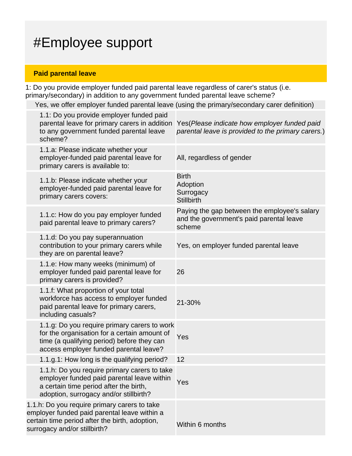# #Employee support

### **Paid parental leave**

1: Do you provide employer funded paid parental leave regardless of carer's status (i.e. primary/secondary) in addition to any government funded parental leave scheme?

Yes, we offer employer funded parental leave (using the primary/secondary carer definition)

| 1.1: Do you provide employer funded paid<br>parental leave for primary carers in addition<br>to any government funded parental leave<br>scheme?                                      | Yes (Please indicate how employer funded paid<br>parental leave is provided to the primary carers.) |
|--------------------------------------------------------------------------------------------------------------------------------------------------------------------------------------|-----------------------------------------------------------------------------------------------------|
| 1.1.a: Please indicate whether your<br>employer-funded paid parental leave for<br>primary carers is available to:                                                                    | All, regardless of gender                                                                           |
| 1.1.b: Please indicate whether your<br>employer-funded paid parental leave for<br>primary carers covers:                                                                             | <b>Birth</b><br>Adoption<br>Surrogacy<br><b>Stillbirth</b>                                          |
| 1.1.c: How do you pay employer funded<br>paid parental leave to primary carers?                                                                                                      | Paying the gap between the employee's salary<br>and the government's paid parental leave<br>scheme  |
| 1.1.d: Do you pay superannuation<br>contribution to your primary carers while<br>they are on parental leave?                                                                         | Yes, on employer funded parental leave                                                              |
| 1.1.e: How many weeks (minimum) of<br>employer funded paid parental leave for<br>primary carers is provided?                                                                         | 26                                                                                                  |
| 1.1.f: What proportion of your total<br>workforce has access to employer funded<br>paid parental leave for primary carers,<br>including casuals?                                     | 21-30%                                                                                              |
| 1.1.g: Do you require primary carers to work<br>for the organisation for a certain amount of<br>time (a qualifying period) before they can<br>access employer funded parental leave? | Yes                                                                                                 |
| 1.1.g.1: How long is the qualifying period?                                                                                                                                          | 12                                                                                                  |
| 1.1.h: Do you require primary carers to take<br>employer funded paid parental leave within<br>a certain time period after the birth,<br>adoption, surrogacy and/or stillbirth?       | Yes                                                                                                 |
| 1.1.h: Do you require primary carers to take<br>employer funded paid parental leave within a<br>certain time period after the birth, adoption,<br>surrogacy and/or stillbirth?       | Within 6 months                                                                                     |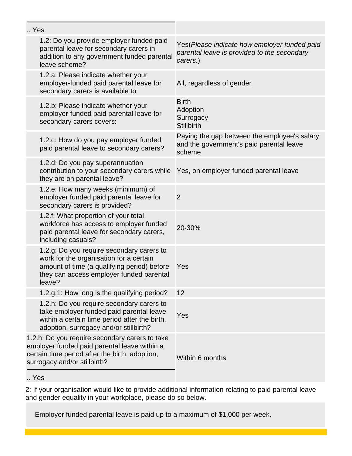| Yes                                                                                                                                                                                       |  |                                                                                                          |
|-------------------------------------------------------------------------------------------------------------------------------------------------------------------------------------------|--|----------------------------------------------------------------------------------------------------------|
| 1.2: Do you provide employer funded paid<br>parental leave for secondary carers in<br>addition to any government funded parental<br>leave scheme?                                         |  | Yes (Please indicate how employer funded paid<br>parental leave is provided to the secondary<br>carers.) |
| 1.2.a: Please indicate whether your<br>employer-funded paid parental leave for<br>secondary carers is available to:                                                                       |  | All, regardless of gender                                                                                |
| 1.2.b: Please indicate whether your<br>employer-funded paid parental leave for<br>secondary carers covers:                                                                                |  | <b>Birth</b><br>Adoption<br>Surrogacy<br><b>Stillbirth</b>                                               |
| 1.2.c: How do you pay employer funded<br>paid parental leave to secondary carers?                                                                                                         |  | Paying the gap between the employee's salary<br>and the government's paid parental leave<br>scheme       |
| 1.2.d: Do you pay superannuation<br>contribution to your secondary carers while<br>they are on parental leave?                                                                            |  | Yes, on employer funded parental leave                                                                   |
| 1.2.e: How many weeks (minimum) of<br>employer funded paid parental leave for<br>secondary carers is provided?                                                                            |  | $\overline{2}$                                                                                           |
| 1.2.f: What proportion of your total<br>workforce has access to employer funded<br>paid parental leave for secondary carers,<br>including casuals?                                        |  | 20-30%                                                                                                   |
| 1.2.g: Do you require secondary carers to<br>work for the organisation for a certain<br>amount of time (a qualifying period) before<br>they can access employer funded parental<br>leave? |  | Yes                                                                                                      |
| 1.2.g.1: How long is the qualifying period?                                                                                                                                               |  | 12                                                                                                       |
| 1.2.h: Do you require secondary carers to<br>take employer funded paid parental leave<br>within a certain time period after the birth,<br>adoption, surrogacy and/or stillbirth?          |  | Yes                                                                                                      |
| 1.2.h: Do you require secondary carers to take<br>employer funded paid parental leave within a<br>certain time period after the birth, adoption,<br>surrogacy and/or stillbirth?          |  | Within 6 months                                                                                          |
|                                                                                                                                                                                           |  |                                                                                                          |

.. Yes

2: If your organisation would like to provide additional information relating to paid parental leave and gender equality in your workplace, please do so below.

Employer funded parental leave is paid up to a maximum of \$1,000 per week.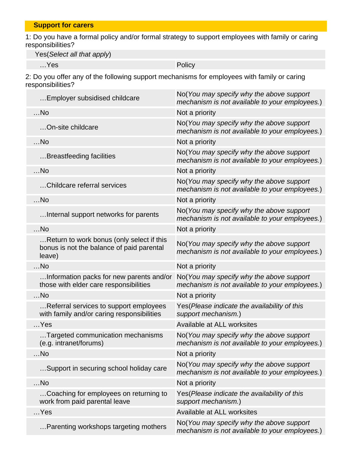1: Do you have a formal policy and/or formal strategy to support employees with family or caring responsibilities?

Yes(Select all that apply)

…Yes Policy

2: Do you offer any of the following support mechanisms for employees with family or caring responsibilities?

| Employer subsidised childcare                                                                    | No(You may specify why the above support<br>mechanism is not available to your employees.) |
|--------------------------------------------------------------------------------------------------|--------------------------------------------------------------------------------------------|
| $$ No                                                                                            | Not a priority                                                                             |
| On-site childcare                                                                                | No(You may specify why the above support<br>mechanism is not available to your employees.) |
| $$ No                                                                                            | Not a priority                                                                             |
| Breastfeeding facilities                                                                         | No(You may specify why the above support<br>mechanism is not available to your employees.) |
| $$ No                                                                                            | Not a priority                                                                             |
| Childcare referral services                                                                      | No(You may specify why the above support<br>mechanism is not available to your employees.) |
| $$ No                                                                                            | Not a priority                                                                             |
| Internal support networks for parents                                                            | No(You may specify why the above support<br>mechanism is not available to your employees.) |
| $$ No                                                                                            | Not a priority                                                                             |
| Return to work bonus (only select if this<br>bonus is not the balance of paid parental<br>leave) | No(You may specify why the above support<br>mechanism is not available to your employees.) |
| $$ No                                                                                            | Not a priority                                                                             |
| Information packs for new parents and/or<br>those with elder care responsibilities               | No(You may specify why the above support<br>mechanism is not available to your employees.) |
| $$ No                                                                                            | Not a priority                                                                             |
| Referral services to support employees<br>with family and/or caring responsibilities             | Yes (Please indicate the availability of this<br>support mechanism.)                       |
| $$ Yes                                                                                           | Available at ALL worksites                                                                 |
| Targeted communication mechanisms<br>(e.g. intranet/forums)                                      | No(You may specify why the above support<br>mechanism is not available to your employees.) |
| $$ No                                                                                            | Not a priority                                                                             |
| Support in securing school holiday care                                                          | No(You may specify why the above support<br>mechanism is not available to your employees.) |
| $$ No                                                                                            | Not a priority                                                                             |
| Coaching for employees on returning to<br>work from paid parental leave                          | Yes (Please indicate the availability of this<br>support mechanism.)                       |
| $$ Yes                                                                                           | Available at ALL worksites                                                                 |
| Parenting workshops targeting mothers                                                            | No(You may specify why the above support<br>mechanism is not available to your employees.) |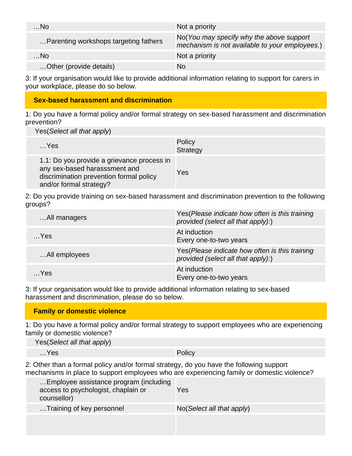| . No                                  | Not a priority                                                                             |
|---------------------------------------|--------------------------------------------------------------------------------------------|
| Parenting workshops targeting fathers | No(You may specify why the above support<br>mechanism is not available to your employees.) |
| $\ldots$ No                           | Not a priority                                                                             |
| Other (provide details)               | No                                                                                         |

3: If your organisation would like to provide additional information relating to support for carers in your workplace, please do so below.

### **Sex-based harassment and discrimination**

1: Do you have a formal policy and/or formal strategy on sex-based harassment and discrimination prevention?

Yes(Select all that apply)

| $$ Yes                                                                                                                                            | Policy<br>Strategy |
|---------------------------------------------------------------------------------------------------------------------------------------------------|--------------------|
| 1.1: Do you provide a grievance process in<br>any sex-based harasssment and<br>discrimination prevention formal policy<br>and/or formal strategy? | Yes                |

2: Do you provide training on sex-based harassment and discrimination prevention to the following groups?

| All managers  | Yes (Please indicate how often is this training<br>provided (select all that apply):) |
|---------------|---------------------------------------------------------------------------------------|
| $$ Yes        | At induction<br>Every one-to-two years                                                |
| All employees | Yes (Please indicate how often is this training<br>provided (select all that apply):) |
| Yes           | At induction<br>Every one-to-two years                                                |

3: If your organisation would like to provide additional information relating to sex-based harassment and discrimination, please do so below.

### **Family or domestic violence**

1: Do you have a formal policy and/or formal strategy to support employees who are experiencing family or domestic violence?

| Yes (Select all that apply) |  |  |  |
|-----------------------------|--|--|--|
|                             |  |  |  |
|                             |  |  |  |

…Yes Policy

2: Other than a formal policy and/or formal strategy, do you have the following support mechanisms in place to support employees who are experiencing family or domestic violence?

| Employee assistance program (including<br>access to psychologist, chaplain or<br>counsellor) | Yes                                  |
|----------------------------------------------------------------------------------------------|--------------------------------------|
| Training of key personnel                                                                    | $No(Select \textit{all} that apply)$ |
|                                                                                              |                                      |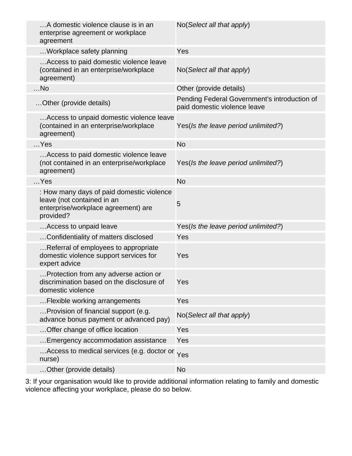| A domestic violence clause is in an<br>enterprise agreement or workplace<br>agreement                                       | No(Select all that apply)                                                    |
|-----------------------------------------------------------------------------------------------------------------------------|------------------------------------------------------------------------------|
| Workplace safety planning                                                                                                   | Yes                                                                          |
| Access to paid domestic violence leave<br>(contained in an enterprise/workplace<br>agreement)                               | No(Select all that apply)                                                    |
| $$ No                                                                                                                       | Other (provide details)                                                      |
| Other (provide details)                                                                                                     | Pending Federal Government's introduction of<br>paid domestic violence leave |
| Access to unpaid domestic violence leave<br>(contained in an enterprise/workplace<br>agreement)                             | Yes(Is the leave period unlimited?)                                          |
| $$ Yes                                                                                                                      | <b>No</b>                                                                    |
| Access to paid domestic violence leave<br>(not contained in an enterprise/workplace<br>agreement)                           | Yes(Is the leave period unlimited?)                                          |
| $$ Yes                                                                                                                      | <b>No</b>                                                                    |
| : How many days of paid domestic violence<br>leave (not contained in an<br>enterprise/workplace agreement) are<br>provided? | 5                                                                            |
| Access to unpaid leave                                                                                                      | Yes(Is the leave period unlimited?)                                          |
| Confidentiality of matters disclosed                                                                                        | Yes                                                                          |
| Referral of employees to appropriate<br>domestic violence support services for<br>expert advice                             | Yes                                                                          |
| Protection from any adverse action or<br>discrimination based on the disclosure of<br>domestic violence                     | Yes                                                                          |
| Flexible working arrangements                                                                                               | Yes                                                                          |
| Provision of financial support (e.g.<br>advance bonus payment or advanced pay)                                              | No(Select all that apply)                                                    |
| Offer change of office location                                                                                             | Yes                                                                          |
| Emergency accommodation assistance                                                                                          | Yes                                                                          |
| Access to medical services (e.g. doctor or Yes<br>nurse)                                                                    |                                                                              |
| Other (provide details)                                                                                                     | <b>No</b>                                                                    |

3: If your organisation would like to provide additional information relating to family and domestic violence affecting your workplace, please do so below.